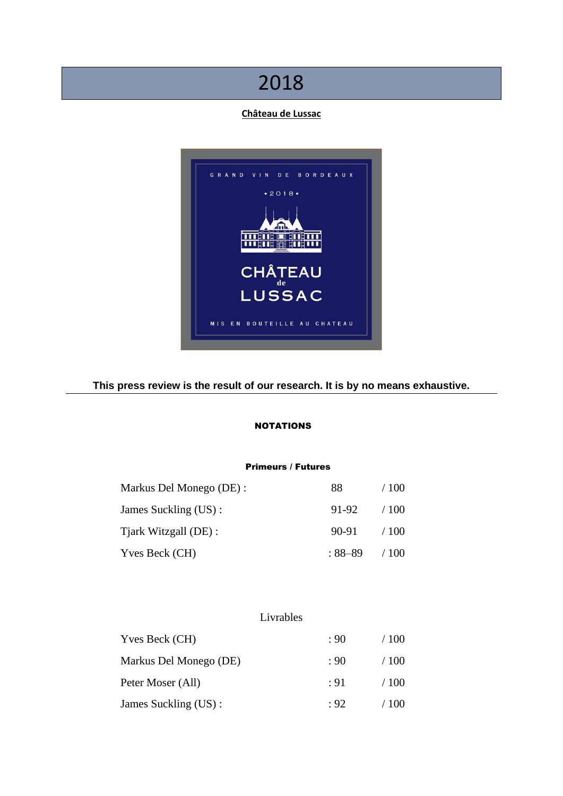# 2018

# **Château de Lussac**



# **This press review is the result of our research. It is by no means exhaustive.**

# NOTATIONS

# Primeurs / Futures

| Markus Del Monego (DE) : | 88      | / 100 |
|--------------------------|---------|-------|
| James Suckling (US):     | 91-92   | /100  |
| Tjark Witzgall (DE):     | 90-91   | /100  |
| Yves Beck (CH)           | : 88–89 | /100  |

# Livrables

| Yves Beck (CH)<br>Markus Del Monego (DE) | : 90      | /100 |  |
|------------------------------------------|-----------|------|--|
|                                          | : 90.     | /100 |  |
| Peter Moser (All)                        | $\div$ 91 | /100 |  |
| James Suckling (US):                     | : 92      | /100 |  |